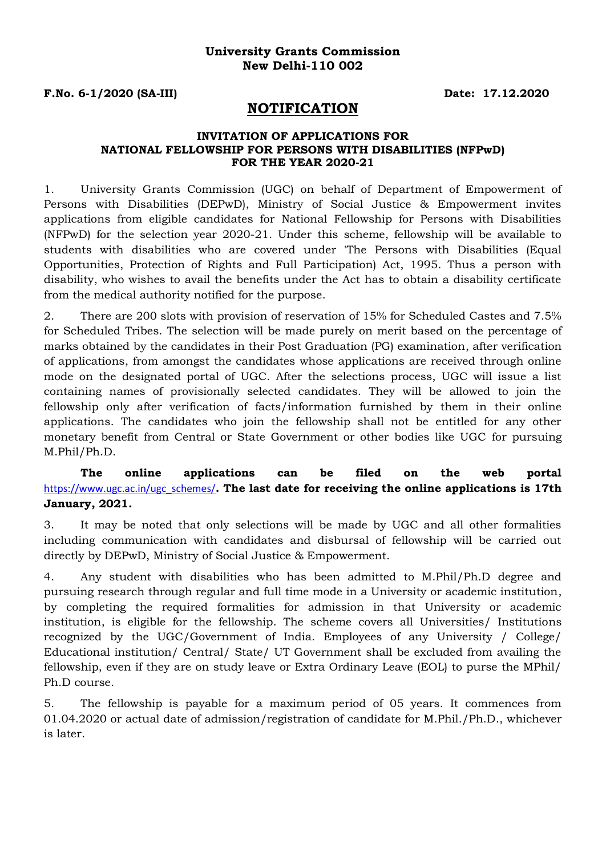#### **University Grants Commission New Delhi-110 002**

**F.No. 6-1/2020 (SA-III) Date: 17.12.2020**

# **NOTIFICATION**

#### **INVITATION OF APPLICATIONS FOR NATIONAL FELLOWSHIP FOR PERSONS WITH DISABILITIES (NFPwD) FOR THE YEAR 2020-21**

1. University Grants Commission (UGC) on behalf of Department of Empowerment of Persons with Disabilities (DEPwD), Ministry of Social Justice & Empowerment invites applications from eligible candidates for National Fellowship for Persons with Disabilities (NFPwD) for the selection year 2020-21. Under this scheme, fellowship will be available to students with disabilities who are covered under 'The Persons with Disabilities (Equal Opportunities, Protection of Rights and Full Participation) Act, 1995. Thus a person with disability, who wishes to avail the benefits under the Act has to obtain a disability certificate from the medical authority notified for the purpose.

2. There are 200 slots with provision of reservation of 15% for Scheduled Castes and 7.5% for Scheduled Tribes. The selection will be made purely on merit based on the percentage of marks obtained by the candidates in their Post Graduation (PG) examination, after verification of applications, from amongst the candidates whose applications are received through online mode on the designated portal of UGC. After the selections process, UGC will issue a list containing names of provisionally selected candidates. They will be allowed to join the fellowship only after verification of facts/information furnished by them in their online applications. The candidates who join the fellowship shall not be entitled for any other monetary benefit from Central or State Government or other bodies like UGC for pursuing M.Phil/Ph.D.

# **The online applications can be filed on the web portal**  [https://www.ugc.ac.in/ugc\\_schemes/](https://www.ugc.ac.in/ugc_schemes/)**. The last date for receiving the online applications is 17th January, 2021.**

3. It may be noted that only selections will be made by UGC and all other formalities including communication with candidates and disbursal of fellowship will be carried out directly by DEPwD, Ministry of Social Justice & Empowerment.

4. Any student with disabilities who has been admitted to M.Phil/Ph.D degree and pursuing research through regular and full time mode in a University or academic institution, by completing the required formalities for admission in that University or academic institution, is eligible for the fellowship. The scheme covers all Universities/ Institutions recognized by the UGC/Government of India. Employees of any University / College/ Educational institution/ Central/ State/ UT Government shall be excluded from availing the fellowship, even if they are on study leave or Extra Ordinary Leave (EOL) to purse the MPhil/ Ph.D course.

5. The fellowship is payable for a maximum period of 05 years. It commences from 01.04.2020 or actual date of admission/registration of candidate for M.Phil./Ph.D., whichever is later.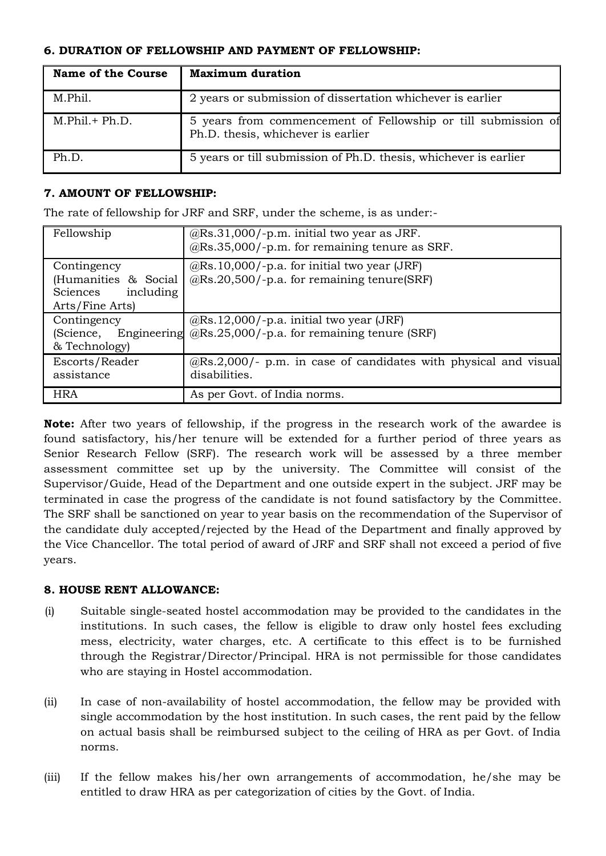# **6. DURATION OF FELLOWSHIP AND PAYMENT OF FELLOWSHIP:**

| <b>Name of the Course</b> | <b>Maximum duration</b>                                                                             |
|---------------------------|-----------------------------------------------------------------------------------------------------|
| M.Phil.                   | 2 years or submission of dissertation whichever is earlier                                          |
| $M.Phil. + Ph.D.$         | 5 years from commencement of Fellowship or till submission of<br>Ph.D. thesis, whichever is earlier |
| Ph.D.                     | 5 years or till submission of Ph.D. thesis, whichever is earlier                                    |

### **7. AMOUNT OF FELLOWSHIP:**

The rate of fellowship for JRF and SRF, under the scheme, is as under:-

| Fellowship                                                                      | $@Rs.31,000/-p.m.$ initial two year as JRF.<br>$@Rs.35,000/-p.m.$ for remaining tenure as SRF.       |
|---------------------------------------------------------------------------------|------------------------------------------------------------------------------------------------------|
| Contingency<br>(Humanities & Social<br>including<br>Sciences<br>Arts/Fine Arts) | $@Rs.10,000/-p.a.$ for initial two year (JRF)<br>@Rs.20,500/-p.a. for remaining tenure(SRF)          |
| Contingency<br>(Science,<br>& Technology)                                       | $@Rs.12,000/-p.a.$ initial two year (JRF)<br>Engineering @Rs.25,000/-p.a. for remaining tenure (SRF) |
| Escorts/Reader<br>assistance                                                    | $@Rs.2,000/$ - p.m. in case of candidates with physical and visual<br>disabilities.                  |
| <b>HRA</b>                                                                      | As per Govt. of India norms.                                                                         |

**Note:** After two years of fellowship, if the progress in the research work of the awardee is found satisfactory, his/her tenure will be extended for a further period of three years as Senior Research Fellow (SRF). The research work will be assessed by a three member assessment committee set up by the university. The Committee will consist of the Supervisor/Guide, Head of the Department and one outside expert in the subject. JRF may be terminated in case the progress of the candidate is not found satisfactory by the Committee. The SRF shall be sanctioned on year to year basis on the recommendation of the Supervisor of the candidate duly accepted/rejected by the Head of the Department and finally approved by the Vice Chancellor. The total period of award of JRF and SRF shall not exceed a period of five years.

### **8. HOUSE RENT ALLOWANCE:**

- (i) Suitable single-seated hostel accommodation may be provided to the candidates in the institutions. In such cases, the fellow is eligible to draw only hostel fees excluding mess, electricity, water charges, etc. A certificate to this effect is to be furnished through the Registrar/Director/Principal. HRA is not permissible for those candidates who are staying in Hostel accommodation.
- (ii) In case of non-availability of hostel accommodation, the fellow may be provided with single accommodation by the host institution. In such cases, the rent paid by the fellow on actual basis shall be reimbursed subject to the ceiling of HRA as per Govt. of India norms.
- (iii) If the fellow makes his/her own arrangements of accommodation, he/she may be entitled to draw HRA as per categorization of cities by the Govt. of India.